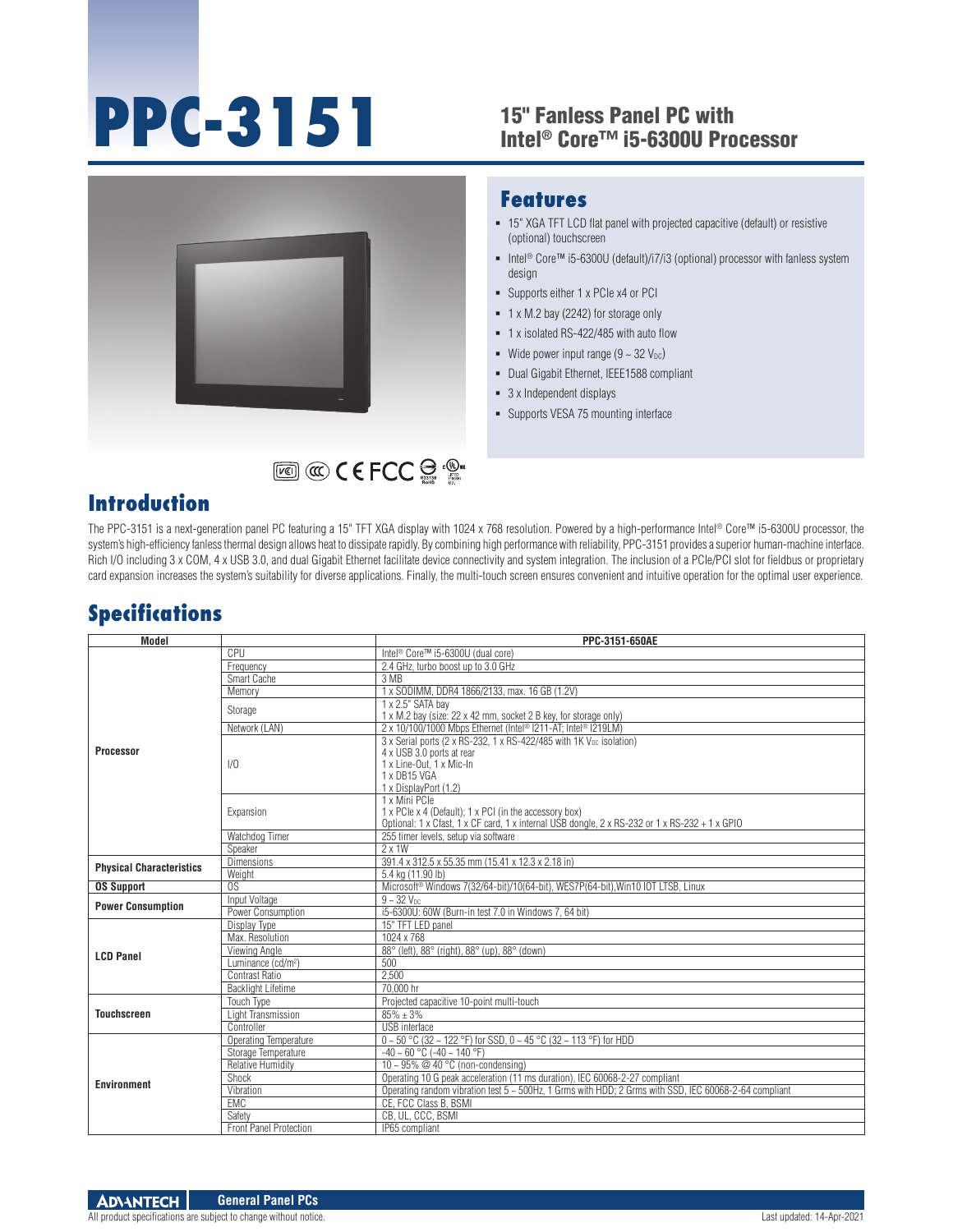# **PPC-3151**

#### 15" Fanless Panel PC with Intel® Core™ i5-6300U Processor



#### **Features**

- 15" XGA TFT LCD flat panel with projected capacitive (default) or resistive (optional) touchscreen
- Intel<sup>®</sup> Core™ i5-6300U (default)/i7/i3 (optional) processor with fanless system design
- Supports either 1 x PCIe x4 or PCI
- 1 x M.2 bay (2242) for storage only
- 1 x isolated RS-422/485 with auto flow
- Wide power input range  $(9 \sim 32 \text{ V}_{\text{DC}})$
- Dual Gigabit Ethernet, IEEE1588 compliant
- 3 x Independent displays
- **Supports VESA 75 mounting interface**

## **Introduction**

The PPC-3151 is a next-generation panel PC featuring a 15" TFT XGA display with 1024 x 768 resolution. Powered by a high-performance Intel® Core™ i5-6300U processor, the system's high-efficiency fanless thermal design allows heat to dissipate rapidly. By combining high performance with reliability, PPC-3151 provides a superior human-machine interface. Rich I/O including 3 x COM, 4 x USB 3.0, and dual Gigabit Ethernet facilitate device connectivity and system integration. The inclusion of a PCIe/PCI slot for fieldbus or proprietary card expansion increases the system's suitability for diverse applications. Finally, the multi-touch screen ensures convenient and intuitive operation for the optimal user experience.

## **Specifications**

| <b>Model</b>                    |                                | PPC-3151-650AE                                                                                        |
|---------------------------------|--------------------------------|-------------------------------------------------------------------------------------------------------|
|                                 | CPU                            | Intel <sup>®</sup> Core™ i5-6300U (dual core)                                                         |
|                                 | Frequency                      | 2.4 GHz, turbo boost up to 3.0 GHz                                                                    |
|                                 | Smart Cache                    | 3 MB                                                                                                  |
|                                 | Memory                         | 1 x SODIMM, DDR4 1866/2133, max. 16 GB (1.2V)                                                         |
|                                 | Storage                        | 1 x 2.5" SATA bay                                                                                     |
|                                 |                                | 1 x M.2 bay (size: 22 x 42 mm, socket 2 B key, for storage only)                                      |
|                                 | Network (LAN)                  | 2 x 10/100/1000 Mbps Ethernet (Intel® I211-AT; Intel® I219LM)                                         |
| <b>Processor</b>                |                                | 3 x Serial ports (2 x RS-232, 1 x RS-422/485 with 1K V <sub>DC</sub> isolation)                       |
|                                 |                                | 4 x USB 3.0 ports at rear                                                                             |
|                                 | 1/0                            | 1 x Line-Out. 1 x Mic-In                                                                              |
|                                 |                                | 1 x DB15 VGA                                                                                          |
|                                 |                                | 1 x DisplayPort (1.2)                                                                                 |
|                                 | Expansion                      | 1 x Mini PCIe                                                                                         |
|                                 |                                | 1 x PCle x 4 (Default); 1 x PCI (in the accessory box)                                                |
|                                 |                                | Optional: 1 x Cfast, 1 x CF card, 1 x internal USB dongle, 2 x RS-232 or 1 x RS-232 + 1 x GPIO        |
|                                 | Watchdog Timer                 | 255 timer levels, setup via software                                                                  |
| <b>Physical Characteristics</b> | Speaker                        | $2 \times 1W$                                                                                         |
|                                 | <b>Dimensions</b>              | 391.4 x 312.5 x 55.35 mm (15.41 x 12.3 x 2.18 in)                                                     |
|                                 | Weight                         | 5.4 kg (11.90 lb)                                                                                     |
| <b>OS Support</b>               | OS                             | Microsoft <sup>®</sup> Windows 7(32/64-bit)/10(64-bit), WES7P(64-bit), Win10 IOT LTSB, Linux          |
| <b>Power Consumption</b>        | <b>Input Voltage</b>           | $9 - 32$ $V_{DC}$                                                                                     |
|                                 | Power Consumption              | i5-6300U: 60W (Burn-in test 7.0 in Windows 7, 64 bit)                                                 |
| <b>LCD Panel</b>                | Display Type                   | 15" TFT LED panel                                                                                     |
|                                 | Max. Resolution                | 1024 x 768                                                                                            |
|                                 | Viewing Angle                  | 88° (left), 88° (right), 88° (up), 88° (down)                                                         |
|                                 | Luminance (cd/m <sup>2</sup> ) | 500                                                                                                   |
|                                 | <b>Contrast Ratio</b>          | 2,500                                                                                                 |
|                                 | <b>Backlight Lifetime</b>      | 70.000 hr                                                                                             |
| <b>Touchscreen</b>              | Touch Type                     | Projected capacitive 10-point multi-touch                                                             |
|                                 | Light Transmission             | $85\% + 3\%$                                                                                          |
|                                 | Controller                     | <b>USB</b> interface                                                                                  |
| <b>Environment</b>              | <b>Operating Temperature</b>   | 0~50 °C (32~122 °F) for SSD, 0~45 °C (32~113 °F) for HDD                                              |
|                                 | Storage Temperature            | $-40 \sim 60$ °C ( $-40 \sim 140$ °F)                                                                 |
|                                 | <b>Relative Humidity</b>       | $10 \sim 95\%$ @ 40 °C (non-condensing)                                                               |
|                                 | Shock                          | Operating 10 G peak acceleration (11 ms duration), IEC 60068-2-27 compliant                           |
|                                 | Vibration                      | Operating random vibration test 5 ~ 500Hz, 1 Grms with HDD; 2 Grms with SSD, IEC 60068-2-64 compliant |
|                                 | <b>EMC</b>                     | CE. FCC Class B. BSMI                                                                                 |
|                                 | Safety                         | CB, UL, CCC, BSMI                                                                                     |
|                                 | Front Panel Protection         | IP65 compliant                                                                                        |

All product specifications are subject to change without notice. Last updated: 14-Apr-2021